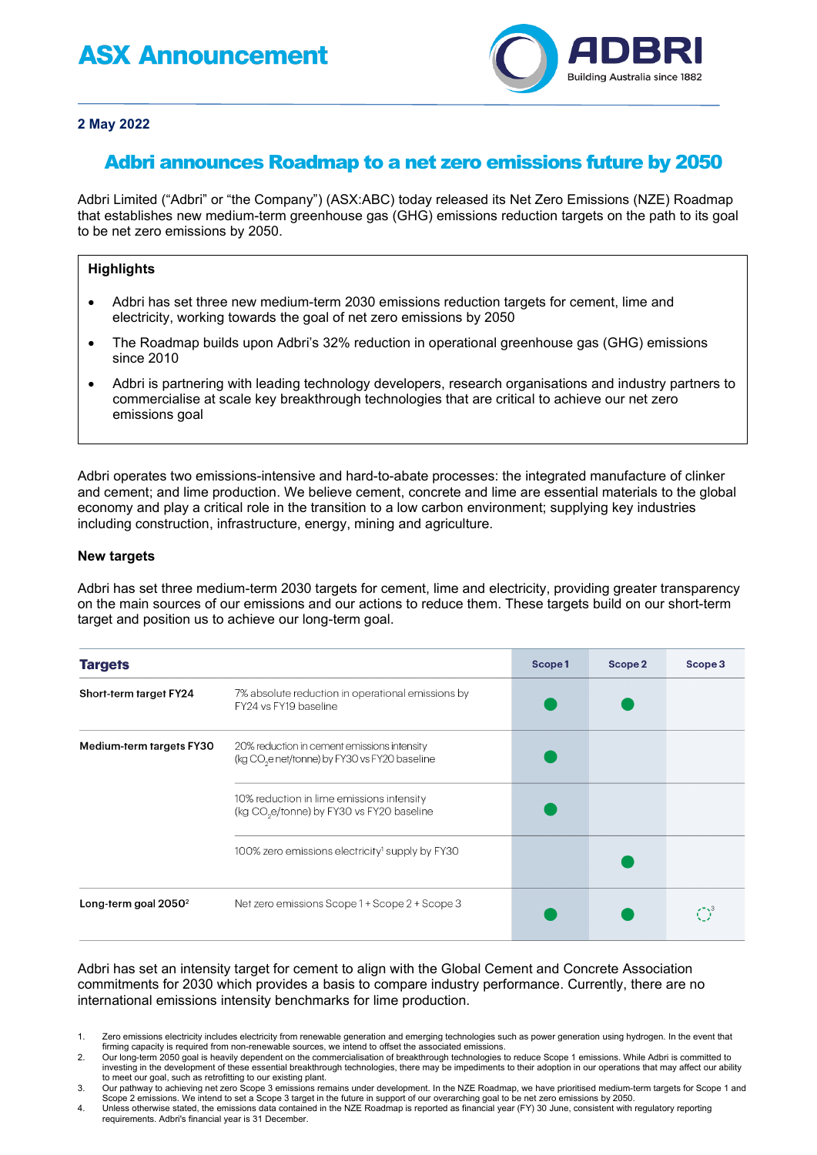# **ASX Announcement**



## **2 May 2022**

# Adbri announces Roadmap to a net zero emissions future by 2050

Adbri Limited ("Adbri" or "the Company") (ASX:ABC) today released its Net Zero Emissions (NZE) Roadmap that establishes new medium-term greenhouse gas (GHG) emissions reduction targets on the path to its goal to be net zero emissions by 2050.

## **Highlights**

- Adbri has set three new medium-term 2030 emissions reduction targets for cement, lime and electricity, working towards the goal of net zero emissions by 2050
- The Roadmap builds upon Adbri's 32% reduction in operational greenhouse gas (GHG) emissions since 2010
- Adbri is partnering with leading technology developers, research organisations and industry partners to commercialise at scale key breakthrough technologies that are critical to achieve our net zero emissions goal

Adbri operates two emissions-intensive and hard-to-abate processes: the integrated manufacture of clinker and cement; and lime production. We believe cement, concrete and lime are essential materials to the global economy and play a critical role in the transition to a low carbon environment; supplying key industries including construction, infrastructure, energy, mining and agriculture.

#### **New targets**

Adbri has set three medium-term 2030 targets for cement, lime and electricity, providing greater transparency on the main sources of our emissions and our actions to reduce them. These targets build on our short-term target and position us to achieve our long-term goal.

| <b>Targets</b>           |                                                                                                          | Scope1 | Scope 2 | Scope 3 |
|--------------------------|----------------------------------------------------------------------------------------------------------|--------|---------|---------|
| Short-term target FY24   | 7% absolute reduction in operational emissions by<br>FY24 vs FY19 baseline                               |        |         |         |
| Medium-term targets FY30 | 20% reduction in cement emissions intensity<br>(kg CO <sub>2</sub> e net/tonne) by FY30 vs FY20 baseline |        |         |         |
|                          | 10% reduction in lime emissions intensity<br>(kg CO <sub>2</sub> e/tonne) by FY30 vs FY20 baseline       |        |         |         |
|                          | 100% zero emissions electricity <sup>1</sup> supply by FY30                                              |        |         |         |
| Long-term goal $2050^2$  | Net zero emissions Scope 1 + Scope 2 + Scope 3                                                           |        |         |         |

Adbri has set an intensity target for cement to align with the Global Cement and Concrete Association commitments for 2030 which provides a basis to compare industry performance. Currently, there are no international emissions intensity benchmarks for lime production.

- 1. Zero emissions electricity includes electricity from renewable generation and emerging technologies such as power generation using hydrogen. In the event that firming capacity is required from non-renewable sources, we intend to offset the associated emissions.
- 2. Our long-term 2050 goal is heavily dependent on the commercialisation of breakthrough technologies to reduce Scope 1 emissions. While Adbri is committed to investing in the development of these essential breakthrough technologies, there may be impediments to their adoption in our operations that may affect our ability to meet our goal, such as retrofitting to our existing plant.
- 3. Our pathway to achieving net zero Scope 3 emissions remains under development. In the NZE Roadmap, we have prioritised medium-term targets for Scope 1 and Scope 2 emissions. We intend to set a Scope 3 target in the future in support of our overarching goal to be net zero emissions by 2050.
- 4. Unless otherwise stated, the emissions data contained in the NZE Roadmap is reported as financial year (FY) 30 June, consistent with regulatory reporting requirements. Adbri's financial year is 31 December.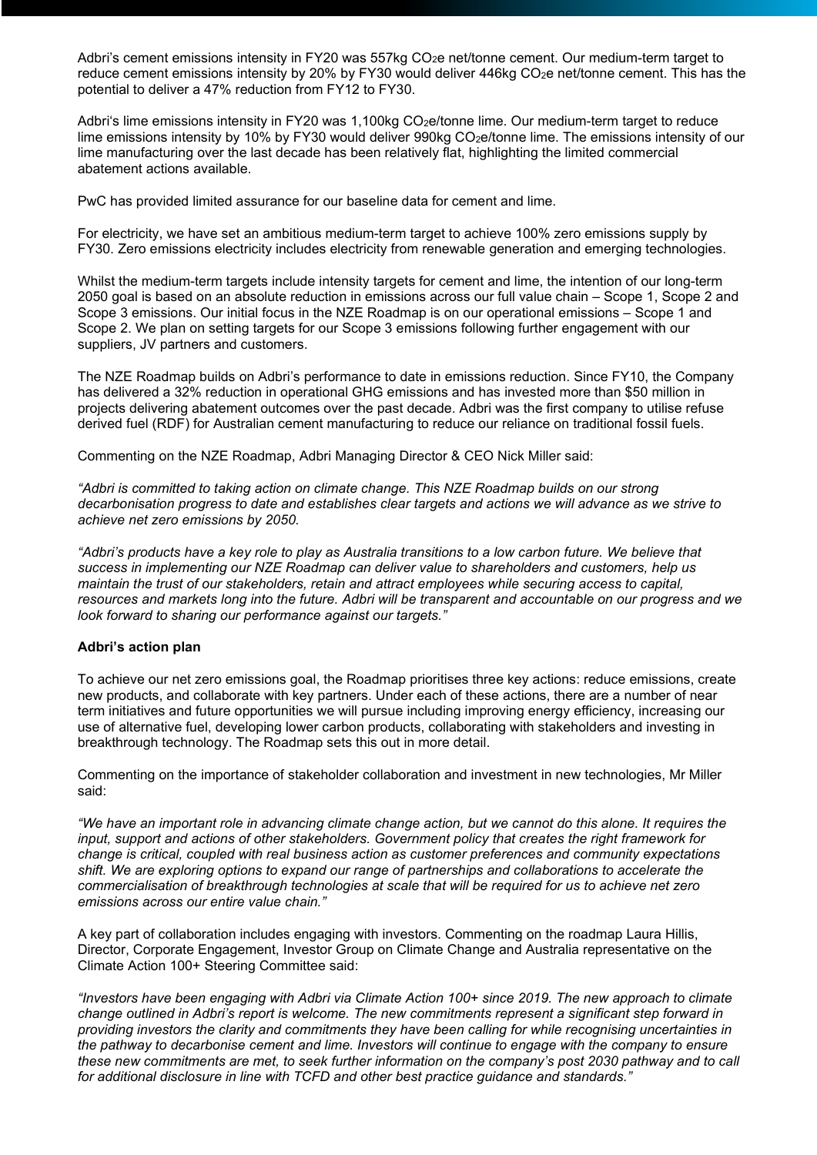Adbri's cement emissions intensity in FY20 was 557kg CO<sub>2</sub>e net/tonne cement. Our medium-term target to reduce cement emissions intensity by 20% by FY30 would deliver 446kg CO<sub>2</sub>e net/tonne cement. This has the potential to deliver a 47% reduction from FY12 to FY30.

Adbri's lime emissions intensity in FY20 was 1,100kg  $CO<sub>2</sub>e/tonne$  lime. Our medium-term target to reduce lime emissions intensity by 10% by FY30 would deliver 990kg CO<sub>2</sub>e/tonne lime. The emissions intensity of our lime manufacturing over the last decade has been relatively flat, highlighting the limited commercial abatement actions available.

PwC has provided limited assurance for our baseline data for cement and lime.

For electricity, we have set an ambitious medium-term target to achieve 100% zero emissions supply by FY30. Zero emissions electricity includes electricity from renewable generation and emerging technologies.

Whilst the medium-term targets include intensity targets for cement and lime, the intention of our long-term 2050 goal is based on an absolute reduction in emissions across our full value chain – Scope 1, Scope 2 and Scope 3 emissions. Our initial focus in the NZE Roadmap is on our operational emissions – Scope 1 and Scope 2. We plan on setting targets for our Scope 3 emissions following further engagement with our suppliers, JV partners and customers.

The NZE Roadmap builds on Adbri's performance to date in emissions reduction. Since FY10, the Company has delivered a 32% reduction in operational GHG emissions and has invested more than \$50 million in projects delivering abatement outcomes over the past decade. Adbri was the first company to utilise refuse derived fuel (RDF) for Australian cement manufacturing to reduce our reliance on traditional fossil fuels.

Commenting on the NZE Roadmap, Adbri Managing Director & CEO Nick Miller said:

*"Adbri is committed to taking action on climate change. This NZE Roadmap builds on our strong decarbonisation progress to date and establishes clear targets and actions we will advance as we strive to achieve net zero emissions by 2050.*

*"Adbri's products have a key role to play as Australia transitions to a low carbon future. We believe that success in implementing our NZE Roadmap can deliver value to shareholders and customers, help us maintain the trust of our stakeholders, retain and attract employees while securing access to capital, resources and markets long into the future. Adbri will be transparent and accountable on our progress and we look forward to sharing our performance against our targets."*

### **Adbri's action plan**

To achieve our net zero emissions goal, the Roadmap prioritises three key actions: reduce emissions, create new products, and collaborate with key partners. Under each of these actions, there are a number of near term initiatives and future opportunities we will pursue including improving energy efficiency, increasing our use of alternative fuel, developing lower carbon products, collaborating with stakeholders and investing in breakthrough technology. The Roadmap sets this out in more detail.

Commenting on the importance of stakeholder collaboration and investment in new technologies, Mr Miller said:

*"We have an important role in advancing climate change action, but we cannot do this alone. It requires the input, support and actions of other stakeholders. Government policy that creates the right framework for change is critical, coupled with real business action as customer preferences and community expectations shift. We are exploring options to expand our range of partnerships and collaborations to accelerate the commercialisation of breakthrough technologies at scale that will be required for us to achieve net zero emissions across our entire value chain."*

A key part of collaboration includes engaging with investors. Commenting on the roadmap Laura Hillis, Director, Corporate Engagement, Investor Group on Climate Change and Australia representative on the Climate Action 100+ Steering Committee said:

*"Investors have been engaging with Adbri via Climate Action 100+ since 2019. The new approach to climate change outlined in Adbri's report is welcome. The new commitments represent a significant step forward in providing investors the clarity and commitments they have been calling for while recognising uncertainties in the pathway to decarbonise cement and lime. Investors will continue to engage with the company to ensure these new commitments are met, to seek further information on the company's post 2030 pathway and to call for additional disclosure in line with TCFD and other best practice guidance and standards."*